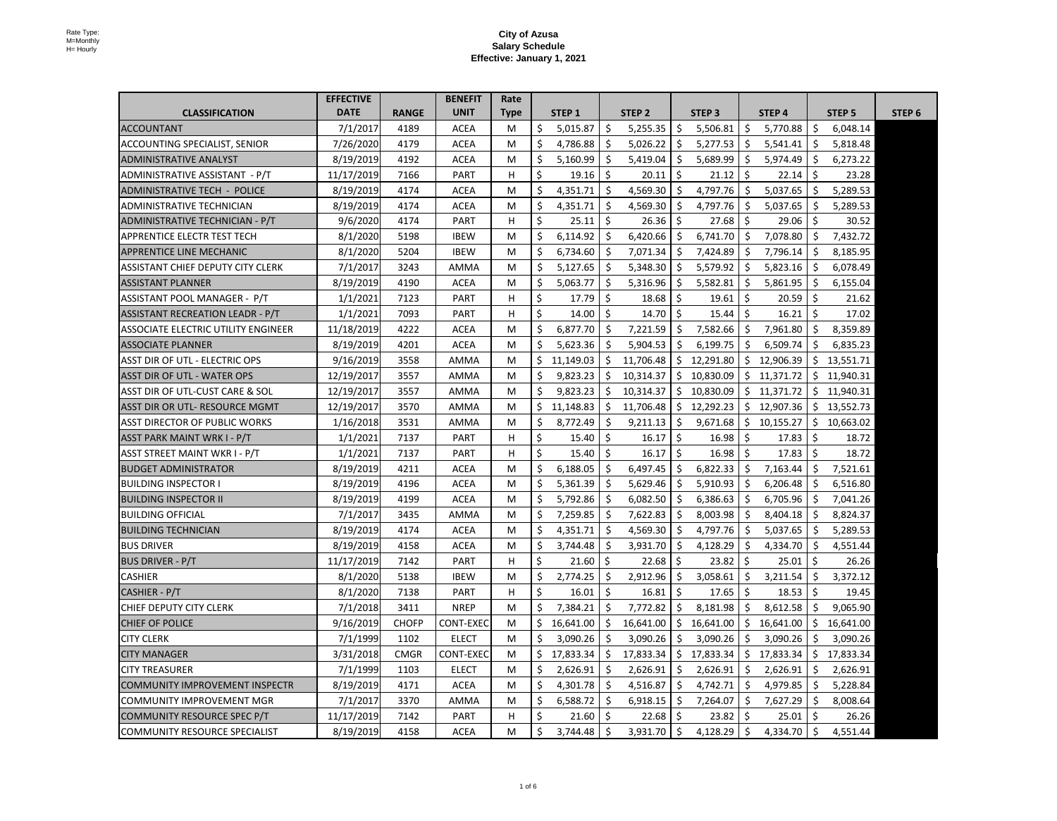|                                            | <b>EFFECTIVE</b> |              | <b>BENEFIT</b>   | Rate |           |     |                  |      |                   |              |           |             |                   |        |
|--------------------------------------------|------------------|--------------|------------------|------|-----------|-----|------------------|------|-------------------|--------------|-----------|-------------|-------------------|--------|
| <b>CLASSIFICATION</b>                      | <b>DATE</b>      | <b>RANGE</b> | <b>UNIT</b>      | Type | STEP 1    |     | STEP 2           |      | STEP <sub>3</sub> |              | STEP 4    |             | STEP <sub>5</sub> | STEP 6 |
| <b>ACCOUNTANT</b>                          | 7/1/2017         | 4189         | <b>ACEA</b>      | M    | 5,015.87  |     | 5,255.35         |      | 5,506.81          |              | 5,770.88  |             | 6,048.14          |        |
| <b>ACCOUNTING SPECIALIST, SENIOR</b>       | 7/26/2020        | 4179         | <b>ACEA</b>      | M    | 4,786.88  |     | 5,026.22         |      | 5,277.53          |              | 5,541.41  |             | 5,818.48          |        |
| <b>ADMINISTRATIVE ANALYST</b>              | 8/19/2019        | 4192         | <b>ACEA</b>      | M    | 5,160.99  |     | 5,419.04         |      | 5,689.99          |              | 5,974.49  |             | 6,273.22          |        |
| ADMINISTRATIVE ASSISTANT - P/T             | 11/17/2019       | 7166         | <b>PART</b>      | H.   | 19.16     |     | 20.11            |      | 21.12             | -Ş           | 22.14     | -\$         | 23.28             |        |
| <b>ADMINISTRATIVE TECH - POLICE</b>        | 8/19/2019        | 4174         | <b>ACEA</b>      | M    | 4,351.71  |     | 4,569.30         |      | 4,797.76          | -Ş           | 5,037.65  |             | 5,289.53          |        |
| <b>ADMINISTRATIVE TECHNICIAN</b>           | 8/19/2019        | 4174         | <b>ACEA</b>      | M    | 4,351.71  |     | 4,569.30         |      | 4,797.76          |              | 5,037.65  |             | 5,289.53          |        |
| ADMINISTRATIVE TECHNICIAN - P/T            | 9/6/2020         | 4174         | <b>PART</b>      | H    | 25.11     |     | 26.36            |      | 27.68             |              | 29.06     |             | 30.52             |        |
| <b>APPRENTICE ELECTR TEST TECH</b>         | 8/1/2020         | 5198         | <b>IBEW</b>      | M    | 6,114.92  |     | 6,420.66         |      | 6,741.70          |              | 7,078.80  |             | 7,432.72          |        |
| <b>APPRENTICE LINE MECHANIC</b>            | 8/1/2020         | 5204         | <b>IBEW</b>      | M    | 6,734.60  |     | 7,071.34         |      | 7,424.89          |              | 7,796.14  |             | 8,185.95          |        |
| <b>ASSISTANT CHIEF DEPUTY CITY CLERK</b>   | 7/1/2017         | 3243         | <b>AMMA</b>      | M    | 5,127.65  |     | 5,348.30         |      | 5,579.92          |              | 5,823.16  |             | 6,078.49          |        |
| <b>ASSISTANT PLANNER</b>                   | 8/19/2019        | 4190         | <b>ACEA</b>      | M    | 5,063.77  |     | 5,316.96         |      | 5,582.81          |              | 5,861.95  |             | 6,155.04          |        |
| ASSISTANT POOL MANAGER - P/T               | 1/1/2021         | 7123         | <b>PART</b>      | H.   | 17.79     |     | 18.68            |      | 19.61             | $\zeta$      | 20.59     |             | 21.62             |        |
| <b>ASSISTANT RECREATION LEADR - P/T</b>    | 1/1/2021         | 7093         | <b>PART</b>      | H.   | 14.00     |     | 14.70            |      | 15.44             |              | 16.21     |             | 17.02             |        |
| <b>ASSOCIATE ELECTRIC UTILITY ENGINEER</b> | 11/18/2019       | 4222         | <b>ACEA</b>      | M    | 6,877.70  |     | 7,221.59         |      | 7,582.66          |              | 7,961.80  |             | 8,359.89          |        |
| <b>ASSOCIATE PLANNER</b>                   | 8/19/2019        | 4201         | <b>ACEA</b>      | M    | 5,623.36  |     | 5,904.53         |      | 6,199.75          |              | 6,509.74  |             | 6,835.23          |        |
| <b>ASST DIR OF UTL - ELECTRIC OPS</b>      | 9/16/2019        | 3558         | AMMA             | M    | 11,149.03 |     | 11,706.48        |      | 12,291.80         |              | 12,906.39 |             | 13,551.71         |        |
| <b>ASST DIR OF UTL - WATER OPS</b>         | 12/19/2017       | 3557         | AMMA             | M    | 9,823.23  |     | 10,314.37        | Ŝ.   | 10,830.09         | $\mathsf{S}$ | 11,371.72 | S           | 11,940.31         |        |
| ASST DIR OF UTL-CUST CARE & SOL            | 12/19/2017       | 3557         | AMMA             | M    | 9,823.23  |     | $10,314.37$   \$ |      | 10,830.09         | $\zeta$      | 11,371.72 |             | \$11,940.31       |        |
| <b>ASST DIR OR UTL- RESOURCE MGMT</b>      | 12/19/2017       | 3570         | AMMA             | M    | 11,148.83 |     | 11,706.48        |      | 12,292.23         | \$.          | 12,907.36 |             | 13,552.73         |        |
| <b>ASST DIRECTOR OF PUBLIC WORKS</b>       | 1/16/2018        | 3531         | AMMA             | M    | 8,772.49  |     | 9,211.13         |      | 9,671.68          | <sub>S</sub> | 10,155.27 |             | 10,663.02         |        |
| <b>ASST PARK MAINT WRK I - P/T</b>         | 1/1/2021         | 7137         | <b>PART</b>      | H.   | 15.40     |     | 16.17            |      | 16.98             |              | 17.83     |             | 18.72             |        |
| ASST STREET MAINT WKR I - P/T              | 1/1/2021         | 7137         | <b>PART</b>      | H.   | 15.40     |     | 16.17            |      | 16.98             | -Ş           | 17.83     |             | 18.72             |        |
| <b>BUDGET ADMINISTRATOR</b>                | 8/19/2019        | 4211         | <b>ACEA</b>      | M    | 6,188.05  |     | 6,497.45         |      | 6,822.33          | -Ş           | 7,163.44  |             | 7,521.61          |        |
| <b>BUILDING INSPECTOR I</b>                | 8/19/2019        | 4196         | <b>ACEA</b>      | M    | 5,361.39  |     | 5,629.46         |      | 5,910.93          | -Ş           | 6,206.48  |             | 6,516.80          |        |
| <b>BUILDING INSPECTOR II</b>               | 8/19/2019        | 4199         | <b>ACEA</b>      | M    | 5,792.86  |     | 6,082.50         |      | 6,386.63          |              | 6,705.96  |             | 7,041.26          |        |
| <b>BUILDING OFFICIAL</b>                   | 7/1/2017         | 3435         | AMMA             | M    | 7,259.85  |     | 7,622.83         |      | 8,003.98          |              | 8,404.18  |             | 8,824.37          |        |
| <b>BUILDING TECHNICIAN</b>                 | 8/19/2019        | 4174         | <b>ACEA</b>      | M    | 4,351.71  |     | 4,569.30         |      | 4,797.76          |              | 5,037.65  |             | 5,289.53          |        |
| <b>BUS DRIVER</b>                          | 8/19/2019        | 4158         | <b>ACEA</b>      | M    | 3,744.48  |     | 3,931.70         |      | 4,128.29          |              | 4,334.70  |             | 4,551.44          |        |
| <b>BUS DRIVER - P/T</b>                    | 11/17/2019       | 7142         | <b>PART</b>      | H    | 21.60     |     | 22.68            |      | 23.82             | -Ş           | 25.01     |             | 26.26             |        |
| <b>CASHIER</b>                             | 8/1/2020         | 5138         | <b>IBEW</b>      | M    | 2,774.25  |     | 2,912.96         |      | 3,058.61          | Ş.           | 3,211.54  |             | 3,372.12          |        |
| CASHIER - P/T                              | 8/1/2020         | 7138         | <b>PART</b>      | H.   | 16.01     |     | $16.81 \mid \xi$ |      | 17.65             | $\zeta$      | 18.53     |             | 19.45             |        |
| <b>CHIEF DEPUTY CITY CLERK</b>             | 7/1/2018         | 3411         | <b>NREP</b>      | M    | 7,384.21  |     | 7,772.82         |      | 8,181.98          |              | 8,612.58  |             | 9,065.90          |        |
| <b>CHIEF OF POLICE</b>                     | 9/16/2019        | <b>CHOFP</b> | <b>CONT-EXEC</b> | M    | 16,641.00 |     | 16,641.00        |      | 16,641.00         |              | 16,641.00 |             | 16,641.00         |        |
| <b>CITY CLERK</b>                          | 7/1/1999         | 1102         | <b>ELECT</b>     | M    | 3,090.26  |     | 3,090.26         |      | 3,090.26          |              | 3,090.26  |             | 3,090.26          |        |
| <b>CITY MANAGER</b>                        | 3/31/2018        | <b>CMGR</b>  | CONT-EXEC        | M    | 17,833.34 |     | 17,833.34        | S    | 17,833.34         | \$.          | 17,833.34 |             | 17,833.34         |        |
| <b>CITY TREASURER</b>                      | 7/1/1999         | 1103         | <b>ELECT</b>     | M    | 2,626.91  |     | 2,626.91         |      | 2,626.91          | \$.          | 2,626.91  |             | 2,626.91          |        |
| <b>COMMUNITY IMPROVEMENT INSPECTR</b>      | 8/19/2019        | 4171         | <b>ACEA</b>      | M    | 4,301.78  |     | 4,516.87         |      | 4,742.71          | S.           | 4,979.85  |             | 5,228.84          |        |
| COMMUNITY IMPROVEMENT MGR                  | 7/1/2017         | 3370         | <b>AMMA</b>      | M    | 6,588.72  | \$, | 6,918.15         | - \$ | 7,264.07          | -\$          | 7,627.29  | $\varsigma$ | 8,008.64          |        |
| COMMUNITY RESOURCE SPEC P/T                | 11/17/2019       | 7142         | <b>PART</b>      | H    | 21.60     |     | $22.68$   \$     |      | 23.82             | <sub>S</sub> | 25.01     | -S          | 26.26             |        |
| COMMUNITY RESOURCE SPECIALIST              | 8/19/2019        | 4158         | <b>ACEA</b>      | M    | 3,744.48  |     | 3,931.70         |      | 4,128.29          |              | 4,334.70  |             | 4,551.44          |        |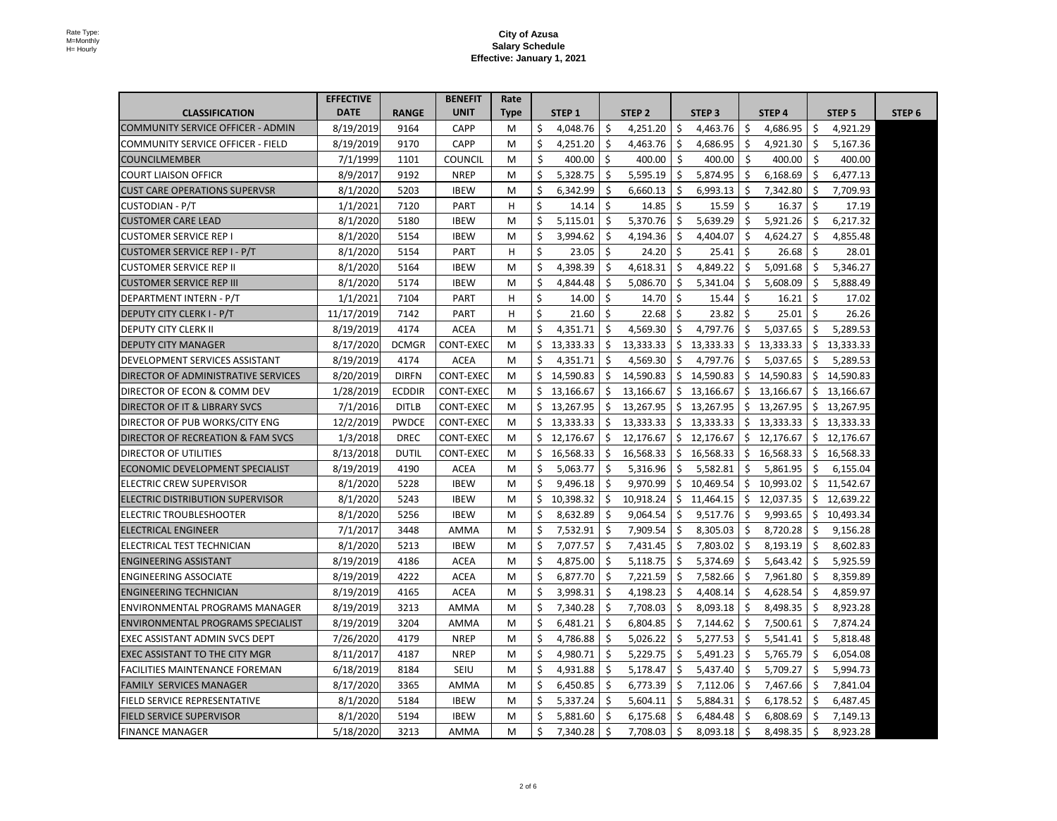|                                              | <b>EFFECTIVE</b> |               | <b>BENEFIT</b>   | Rate        |     |           |     |                  |              |                   |              |                       |         |                   |        |
|----------------------------------------------|------------------|---------------|------------------|-------------|-----|-----------|-----|------------------|--------------|-------------------|--------------|-----------------------|---------|-------------------|--------|
| <b>CLASSIFICATION</b>                        | <b>DATE</b>      | <b>RANGE</b>  | <b>UNIT</b>      | <b>Type</b> |     | STEP 1    |     | STEP 2           |              | STEP <sub>3</sub> |              | STEP 4                |         | STEP <sub>5</sub> | STEP 6 |
| COMMUNITY SERVICE OFFICER - ADMIN            | 8/19/2019        | 9164          | <b>CAPP</b>      | M           |     | 4,048.76  |     | 4,251.20         |              | 4,463.76          |              | 4,686.95              |         | 4,921.29          |        |
| <b>COMMUNITY SERVICE OFFICER - FIELD</b>     | 8/19/2019        | 9170          | <b>CAPP</b>      | M           |     | 4,251.20  |     | 4,463.76         |              | 4,686.95          |              | 4,921.30              |         | 5,167.36          |        |
| <b>COUNCILMEMBER</b>                         | 7/1/1999         | 1101          | <b>COUNCIL</b>   | M           |     | 400.00    |     | 400.00           |              | 400.00            |              | 400.00                |         | 400.00            |        |
| <b>COURT LIAISON OFFICR</b>                  | 8/9/2017         | 9192          | <b>NREP</b>      | M           |     | 5,328.75  |     | 5,595.19         |              | 5,874.95          |              | 6,168.69              |         | 6,477.13          |        |
| <b>CUST CARE OPERATIONS SUPERVSR</b>         | 8/1/2020         | 5203          | <b>IBEW</b>      | M           |     | 6,342.99  |     | 6,660.13         |              | 6,993.13          |              | 7,342.80              |         | 7,709.93          |        |
| <b>CUSTODIAN - P/T</b>                       | 1/1/2021         | 7120          | <b>PART</b>      | H.          |     | 14.14     |     | 14.85            |              | 15.59             | -Ş           | 16.37                 |         | 17.19             |        |
| <b>CUSTOMER CARE LEAD</b>                    | 8/1/2020         | 5180          | <b>IBEW</b>      | M           |     | 5,115.01  |     | 5,370.76         |              | 5,639.29          |              | 5,921.26              |         | 6,217.32          |        |
| <b>CUSTOMER SERVICE REP I</b>                | 8/1/2020         | 5154          | <b>IBEW</b>      | M           |     | 3,994.62  |     | 4,194.36         |              | 4,404.07          |              | 4,624.27              |         | 4,855.48          |        |
| <b>CUSTOMER SERVICE REP I - P/T</b>          | 8/1/2020         | 5154          | <b>PART</b>      | H           |     | 23.05     |     | 24.20            |              | 25.41             |              | 26.68                 |         | 28.01             |        |
| <b>CUSTOMER SERVICE REP II</b>               | 8/1/2020         | 5164          | <b>IBEW</b>      | M           |     | 4,398.39  |     | 4,618.31         | <sub>S</sub> | 4,849.22          |              | 5,091.68              |         | 5,346.27          |        |
| <b>CUSTOMER SERVICE REP III</b>              | 8/1/2020         | 5174          | <b>IBEW</b>      | M           |     | 4,844.48  |     | 5,086.70         |              | 5,341.04          |              | 5,608.09              |         | 5,888.49          |        |
| DEPARTMENT INTERN - P/T                      | 1/1/2021         | 7104          | <b>PART</b>      | H.          |     | 14.00     |     | 14.70            |              | 15.44             |              | 16.21                 |         | 17.02             |        |
| <b>DEPUTY CITY CLERK I - P/T</b>             | 11/17/2019       | 7142          | <b>PART</b>      | H.          |     | 21.60     |     | 22.68            |              | 23.82             |              | 25.01                 |         | 26.26             |        |
| <b>DEPUTY CITY CLERK II</b>                  | 8/19/2019        | 4174          | <b>ACEA</b>      | M           |     | 4,351.71  |     | 4,569.30         |              | 4,797.76          |              | 5,037.65              |         | 5,289.53          |        |
| <b>DEPUTY CITY MANAGER</b>                   | 8/17/2020        | <b>DCMGR</b>  | <b>CONT-EXEC</b> | M           |     | 13,333.33 |     | 13,333.33        |              | 13,333.33         |              | 13,333.33             |         | 13,333.33         |        |
| <b>DEVELOPMENT SERVICES ASSISTANT</b>        | 8/19/2019        | 4174          | <b>ACEA</b>      | M           |     | 4,351.71  |     | 4,569.30         |              | 4,797.76          |              | 5,037.65              |         | 5,289.53          |        |
| <b>DIRECTOR OF ADMINISTRATIVE SERVICES</b>   | 8/20/2019        | <b>DIRFN</b>  | <b>CONT-EXEC</b> | M           |     | 14,590.83 |     | 14,590.83        | <sub>S</sub> | 14,590.83         |              | 14,590.83             |         | 14,590.83         |        |
| DIRECTOR OF ECON & COMM DEV                  | 1/28/2019        | <b>ECDDIR</b> | <b>CONT-EXEC</b> | M           |     | 13,166.67 | \$  | $13,166.67$   \$ |              | 13,166.67         |              | $\frac{13,166.67}{ }$ | $\zeta$ | 13,166.67         |        |
| <b>DIRECTOR OF IT &amp; LIBRARY SVCS</b>     | 7/1/2016         | <b>DITLB</b>  | <b>CONT-EXEC</b> | M           | \$, | 13,267.95 |     | 13,267.95        |              | 13,267.95         | -S           | 13,267.95             |         | 13,267.95         |        |
| DIRECTOR OF PUB WORKS/CITY ENG               | 12/2/2019        | <b>PWDCE</b>  | <b>CONT-EXEC</b> | M           |     | 13,333.33 |     | 13,333.33        |              | 13,333.33         |              | 13,333.33             |         | 13,333.33         |        |
| <b>DIRECTOR OF RECREATION &amp; FAM SVCS</b> | 1/3/2018         | <b>DREC</b>   | <b>CONT-EXEC</b> | M           |     | 12,176.67 |     | 12,176.67        |              | 12,176.67         |              | 12,176.67             |         | 12,176.67         |        |
| <b>DIRECTOR OF UTILITIES</b>                 | 8/13/2018        | <b>DUTIL</b>  | <b>CONT-EXEC</b> | M           |     | 16,568.33 |     | 16,568.33        |              | 16,568.33         |              | 16,568.33             |         | 16,568.33         |        |
| <b>ECONOMIC DEVELOPMENT SPECIALIST</b>       | 8/19/2019        | 4190          | <b>ACEA</b>      | M           |     | 5,063.77  |     | 5,316.96         |              | 5,582.81          |              | 5,861.95              |         | 6,155.04          |        |
| <b>ELECTRIC CREW SUPERVISOR</b>              | 8/1/2020         | 5228          | <b>IBEW</b>      | M           |     | 9,496.18  |     | 9,970.99         |              | 10,469.54         |              | 10,993.02             |         | 11,542.67         |        |
| ELECTRIC DISTRIBUTION SUPERVISOR             | 8/1/2020         | 5243          | <b>IBEW</b>      | M           |     | 10,398.32 |     | 10,918.24        | \$.          | 11,464.15         | $\mathsf{S}$ | 12,037.35             |         | 12,639.22         |        |
| <b>ELECTRIC TROUBLESHOOTER</b>               | 8/1/2020         | 5256          | <b>IBEW</b>      | M           |     | 8,632.89  |     | 9,064.54         |              | 9,517.76          |              | 9,993.65              |         | 10,493.34         |        |
| <b>ELECTRICAL ENGINEER</b>                   | 7/1/2017         | 3448          | <b>AMMA</b>      | M           |     | 7,532.91  |     | 7,909.54         |              | 8,305.03          |              | 8,720.28              |         | 9,156.28          |        |
| ELECTRICAL TEST TECHNICIAN                   | 8/1/2020         | 5213          | <b>IBEW</b>      | M           |     | 7,077.57  |     | 7,431.45         |              | 7,803.02          |              | 8,193.19              |         | 8,602.83          |        |
| <b>ENGINEERING ASSISTANT</b>                 | 8/19/2019        | 4186          | <b>ACEA</b>      | M           |     | 4,875.00  |     | 5,118.75         | S            | 5,374.69          |              | 5,643.42              |         | 5,925.59          |        |
| <b>ENGINEERING ASSOCIATE</b>                 | 8/19/2019        | 4222          | <b>ACEA</b>      | M           |     | 6,877.70  |     | 7,221.59         |              | 7,582.66          |              | 7,961.80              |         | 8,359.89          |        |
| <b>ENGINEERING TECHNICIAN</b>                | 8/19/2019        | 4165          | <b>ACEA</b>      | M           |     | 3,998.31  |     | 4,198.23         |              | 4,408.14          |              | 4,628.54              |         | 4,859.97          |        |
| <b>ENVIRONMENTAL PROGRAMS MANAGER</b>        | 8/19/2019        | 3213          | <b>AMMA</b>      | M           |     | 7,340.28  |     | 7,708.03         |              | 8,093.18          |              | 8,498.35              |         | 8,923.28          |        |
| <b>ENVIRONMENTAL PROGRAMS SPECIALIST</b>     | 8/19/2019        | 3204          | AMMA             | M           |     | 6,481.21  |     | 6,804.85         |              | 7,144.62          |              | 7,500.61              |         | 7,874.24          |        |
| <b>EXEC ASSISTANT ADMIN SVCS DEPT</b>        | 7/26/2020        | 4179          | <b>NREP</b>      | M           |     | 4,786.88  |     | 5,026.22         |              | 5,277.53          |              | 5,541.41              |         | 5,818.48          |        |
| <b>EXEC ASSISTANT TO THE CITY MGR</b>        | 8/11/2017        | 4187          | <b>NREP</b>      | M           |     | 4,980.71  |     | 5,229.75         |              | 5,491.23          |              | 5,765.79              |         | 6,054.08          |        |
| <b>FACILITIES MAINTENANCE FOREMAN</b>        | 6/18/2019        | 8184          | <b>SEIU</b>      | M           |     | 4,931.88  |     | 5,178.47         |              | 5,437.40          |              | 5,709.27              |         | 5,994.73          |        |
| <b>FAMILY SERVICES MANAGER</b>               | 8/17/2020        | 3365          | AMMA             | M           |     | 6,450.85  |     | 6,773.39         |              | 7,112.06          |              | 7,467.66              |         | 7,841.04          |        |
| <b>FIELD SERVICE REPRESENTATIVE</b>          | 8/1/2020         | 5184          | <b>IBEW</b>      | M           | -\$ | 5,337.24  | \$, | 5,604.11         |              | 5,884.31          |              | 6,178.52              |         | 6,487.45          |        |
| <b>FIELD SERVICE SUPERVISOR</b>              | 8/1/2020         | 5194          | <b>IBEW</b>      | M           |     | 5,881.60  |     | 6,175.68         |              | 6,484.48          |              | 6,808.69              |         | 7,149.13          |        |
| <b>FINANCE MANAGER</b>                       | 5/18/2020        | 3213          | <b>AMMA</b>      | M           |     | 7,340.28  |     | 7,708.03         |              | 8,093.18          |              | 8,498.35              |         | 8,923.28          |        |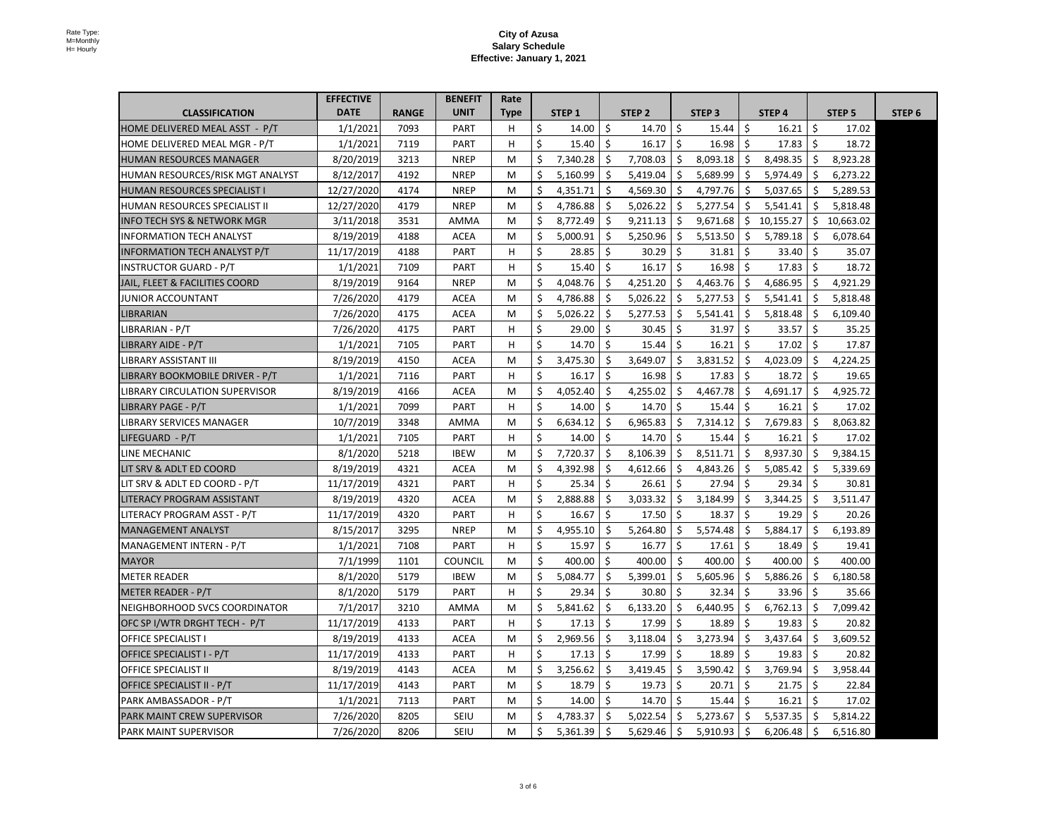|                                        | <b>EFFECTIVE</b> |              | <b>BENEFIT</b> | Rate |     |          |   |          |                   |              |           |                   |        |
|----------------------------------------|------------------|--------------|----------------|------|-----|----------|---|----------|-------------------|--------------|-----------|-------------------|--------|
| <b>CLASSIFICATION</b>                  | <b>DATE</b>      | <b>RANGE</b> | <b>UNIT</b>    | Type |     | STEP 1   |   | STEP 2   | STEP <sub>3</sub> |              | STEP 4    | STEP <sub>5</sub> | STEP 6 |
| HOME DELIVERED MEAL ASST - P/T         | 1/1/2021         | 7093         | <b>PART</b>    | H.   |     | 14.00    |   | 14.70    | 15.44             | -S           | 16.21     | 17.02             |        |
| HOME DELIVERED MEAL MGR - P/T          | 1/1/2021         | 7119         | <b>PART</b>    | H.   |     | 15.40    |   | 16.17    | 16.98             | -S           | 17.83     | 18.72             |        |
| <b>HUMAN RESOURCES MANAGER</b>         | 8/20/2019        | 3213         | <b>NREP</b>    | M    |     | 7,340.28 | S | 7,708.03 | 8,093.18          | Ş.           | 8,498.35  | 8,923.28          |        |
| HUMAN RESOURCES/RISK MGT ANALYST       | 8/12/2017        | 4192         | <b>NREP</b>    | M    |     | 5,160.99 |   | 5,419.04 | 5,689.99          |              | 5,974.49  | 6,273.22          |        |
| <b>HUMAN RESOURCES SPECIALIST I</b>    | 12/27/2020       | 4174         | <b>NREP</b>    | M    |     | 4,351.71 |   | 4,569.30 | 4,797.76          | -S           | 5,037.65  | 5,289.53          |        |
| <b>HUMAN RESOURCES SPECIALIST II</b>   | 12/27/2020       | 4179         | <b>NREP</b>    | M    |     | 4,786.88 |   | 5,026.22 | 5,277.54          | S            | 5,541.41  | 5,818.48          |        |
| <b>INFO TECH SYS &amp; NETWORK MGR</b> | 3/11/2018        | 3531         | AMMA           | M    |     | 8,772.49 |   | 9,211.13 | 9,671.68          | S            | 10,155.27 | 10,663.02         |        |
| <b>INFORMATION TECH ANALYST</b>        | 8/19/2019        | 4188         | <b>ACEA</b>    | M    |     | 5,000.91 |   | 5,250.96 | 5,513.50          |              | 5,789.18  | 6,078.64          |        |
| <b>INFORMATION TECH ANALYST P/T</b>    | 11/17/2019       | 4188         | <b>PART</b>    | H    |     | 28.85    |   | 30.29    | 31.81             | $\zeta$      | 33.40     | 35.07             |        |
| <b>INSTRUCTOR GUARD - P/T</b>          | 1/1/2021         | 7109         | <b>PART</b>    | H    |     | 15.40    |   | 16.17    | 16.98             | -S           | 17.83     | 18.72             |        |
| JAIL, FLEET & FACILITIES COORD         | 8/19/2019        | 9164         | <b>NREP</b>    | M    |     | 4,048.76 |   | 4,251.20 | 4,463.76          | \$.          | 4,686.95  | 4,921.29          |        |
| <b>JUNIOR ACCOUNTANT</b>               | 7/26/2020        | 4179         | <b>ACEA</b>    | M    |     | 4,786.88 |   | 5,026.22 | 5,277.53          |              | 5,541.41  | 5,818.48          |        |
| LIBRARIAN                              | 7/26/2020        | 4175         | <b>ACEA</b>    | M    |     | 5,026.22 |   | 5,277.53 | 5,541.41          |              | 5,818.48  | 6,109.40          |        |
| LIBRARIAN - P/T                        | 7/26/2020        | 4175         | <b>PART</b>    | H.   |     | 29.00    |   | 30.45    | 31.97             | <sub>S</sub> | 33.57     | 35.25             |        |
| LIBRARY AIDE - P/T                     | 1/1/2021         | 7105         | <b>PART</b>    | H.   |     | 14.70    |   | 15.44    | 16.21             | -S           | 17.02     | 17.87             |        |
| IBRARY ASSISTANT III                   | 8/19/2019        | 4150         | <b>ACEA</b>    | M    |     | 3,475.30 |   | 3,649.07 | 3,831.52          | <b>S</b>     | 4,023.09  | 4,224.25          |        |
| LIBRARY BOOKMOBILE DRIVER - P/T        | 1/1/2021         | 7116         | <b>PART</b>    | H.   |     | 16.17    |   | 16.98    | 17.83             | -S           | 18.72     | 19.65             |        |
| LIBRARY CIRCULATION SUPERVISOR         | 8/19/2019        | 4166         | <b>ACEA</b>    | M    |     | 4,052.40 |   | 4,255.02 | 4,467.78          | $\varsigma$  | 4,691.17  | 4,925.72          |        |
| LIBRARY PAGE - P/T                     | 1/1/2021         | 7099         | <b>PART</b>    | H.   |     | 14.00    |   | 14.70    | 15.44             |              | 16.21     | 17.02             |        |
| <b>IBRARY SERVICES MANAGER</b>         | 10/7/2019        | 3348         | <b>AMMA</b>    | M    |     | 6,634.12 |   | 6,965.83 | 7,314.12          |              | 7,679.83  | 8,063.82          |        |
| LIFEGUARD - P/T                        | 1/1/2021         | 7105         | <b>PART</b>    | H.   |     | 14.00    |   | 14.70    | 15.44             | -S           | 16.21     | 17.02             |        |
| <b>LINE MECHANIC</b>                   | 8/1/2020         | 5218         | <b>IBEW</b>    | M    |     | 7,720.37 |   | 8,106.39 | 8,511.71          | \$.          | 8,937.30  | 9,384.15          |        |
| LIT SRV & ADLT ED COORD                | 8/19/2019        | 4321         | <b>ACEA</b>    | M    |     | 4,392.98 |   | 4,612.66 | 4,843.26          |              | 5,085.42  | 5,339.69          |        |
| LIT SRV & ADLT ED COORD - P/T          | 11/17/2019       | 4321         | <b>PART</b>    | H.   |     | 25.34    |   | 26.61    | 27.94             | -S           | 29.34     | 30.81             |        |
| <b>LITERACY PROGRAM ASSISTANT</b>      | 8/19/2019        | 4320         | <b>ACEA</b>    | M    |     | 2,888.88 |   | 3,033.32 | 3,184.99          | S.           | 3,344.25  | 3,511.47          |        |
| LITERACY PROGRAM ASST - P/T            | 11/17/2019       | 4320         | <b>PART</b>    | H.   |     | 16.67    |   | 17.50    | 18.37             | -S           | 19.29     | 20.26             |        |
| <b>MANAGEMENT ANALYST</b>              | 8/15/2017        | 3295         | <b>NREP</b>    | M    |     | 4,955.10 |   | 5,264.80 | 5,574.48          |              | 5,884.17  | 6,193.89          |        |
| MANAGEMENT INTERN - P/T                | 1/1/2021         | 7108         | <b>PART</b>    | H    |     | 15.97    |   | 16.77    | 17.61             | -S           | 18.49     | 19.41             |        |
| <b>MAYOR</b>                           | 7/1/1999         | 1101         | <b>COUNCIL</b> | M    |     | 400.00   |   | 400.00   | 400.00            | S.           | 400.00    | 400.00            |        |
| <b>METER READER</b>                    | 8/1/2020         | 5179         | <b>IBEW</b>    | M    |     | 5,084.77 |   | 5,399.01 | 5,605.96          | <sub>S</sub> | 5,886.26  | 6,180.58          |        |
| METER READER - P/T                     | 8/1/2020         | 5179         | <b>PART</b>    | H.   |     | 29.34    |   | 30.80    | 32.34             | -S           | 33.96     | 35.66             |        |
| NEIGHBORHOOD SVCS COORDINATOR          | 7/1/2017         | 3210         | AMMA           | M    |     | 5,841.62 |   | 6,133.20 | 6,440.95          |              | 6,762.13  | 7,099.42          |        |
| OFC SP I/WTR DRGHT TECH - P/T          | 11/17/2019       | 4133         | <b>PART</b>    | H.   |     | 17.13    |   | 17.99    | 18.89             |              | 19.83     | 20.82             |        |
| <b>OFFICE SPECIALIST I</b>             | 8/19/2019        | 4133         | <b>ACEA</b>    | M    |     | 2,969.56 |   | 3,118.04 | 3,273.94          |              | 3,437.64  | 3,609.52          |        |
| OFFICE SPECIALIST I - P/T              | 11/17/2019       | 4133         | <b>PART</b>    | H.   |     | 17.13    |   | 17.99    | 18.89             |              | 19.83     | 20.82             |        |
| <b>OFFICE SPECIALIST II</b>            | 8/19/2019        | 4143         | <b>ACEA</b>    | M    |     | 3,256.62 |   | 3,419.45 | 3,590.42          | S.           | 3,769.94  | 3,958.44          |        |
| <b>OFFICE SPECIALIST II - P/T</b>      | 11/17/2019       | 4143         | <b>PART</b>    | M    |     | 18.79    |   | 19.73    | 20.71             | $\mathsf{S}$ | 21.75     | 22.84             |        |
| <b>PARK AMBASSADOR - P/T</b>           | 1/1/2021         | 7113         | <b>PART</b>    | M    | \$. | 14.00    |   | 14.70    | 15.44             |              | 16.21     | 17.02             |        |
| <b>PARK MAINT CREW SUPERVISOR</b>      | 7/26/2020        | 8205         | <b>SEIU</b>    | M    |     | 4,783.37 |   | 5,022.54 | 5,273.67          |              | 5,537.35  | 5,814.22          |        |
| <b>PARK MAINT SUPERVISOR</b>           | 7/26/2020        | 8206         | <b>SEIU</b>    | M    |     | 5,361.39 | S | 5,629.46 | 5,910.93          | IS.          | 6,206.48  | 6,516.80          |        |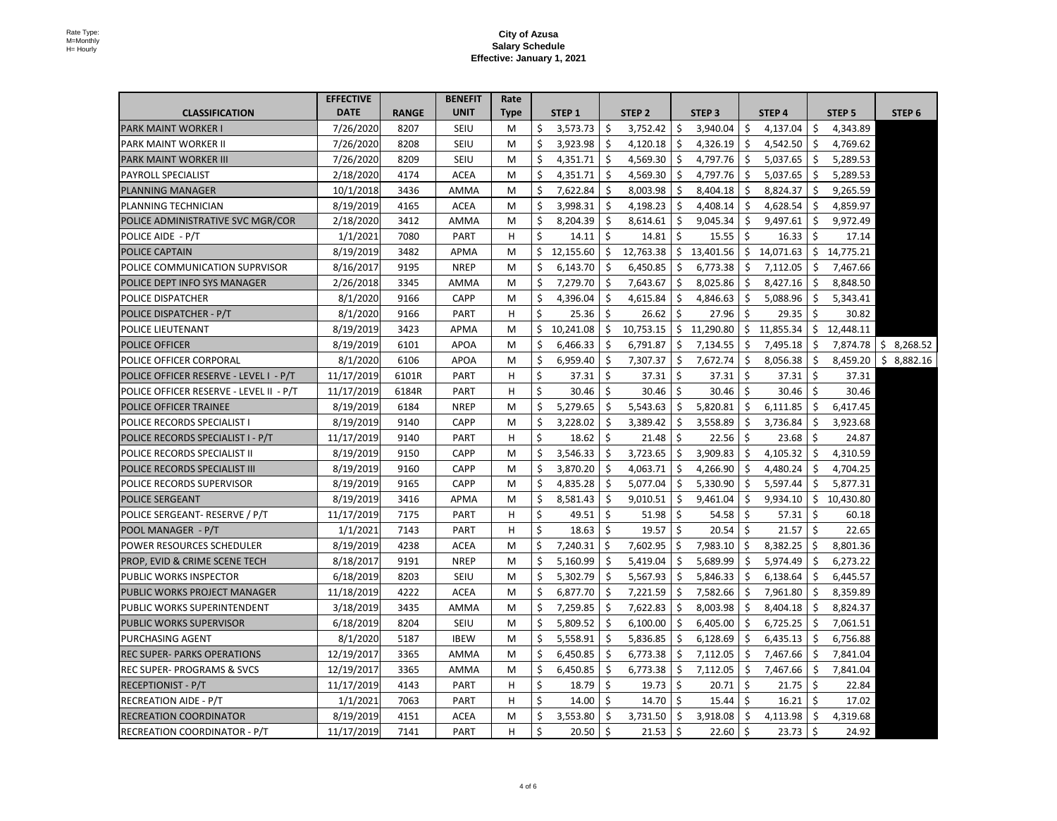|                                          | <b>EFFECTIVE</b> |              | <b>BENEFIT</b> | Rate        |             |           |              |              |              |                   |   |                          |              |                   |                          |
|------------------------------------------|------------------|--------------|----------------|-------------|-------------|-----------|--------------|--------------|--------------|-------------------|---|--------------------------|--------------|-------------------|--------------------------|
| <b>CLASSIFICATION</b>                    | <b>DATE</b>      | <b>RANGE</b> | <b>UNIT</b>    | <b>Type</b> |             | STEP 1    |              | STEP 2       |              | STEP <sub>3</sub> |   | STEP 4                   |              | STEP <sub>5</sub> | STEP 6                   |
| <b>PARK MAINT WORKER I</b>               | 7/26/2020        | 8207         | <b>SEIU</b>    | M           |             | 3,573.73  |              | 3,752.42     | \$           | 3,940.04          |   | 4,137.04                 |              | 4,343.89          |                          |
| <b>PARK MAINT WORKER II</b>              | 7/26/2020        | 8208         | <b>SEIU</b>    | M           |             | 3,923.98  |              | 4,120.18     | -\$          | 4,326.19          |   | 4,542.50                 |              | 4,769.62          |                          |
| <b>PARK MAINT WORKER III</b>             | 7/26/2020        | 8209         | <b>SEIU</b>    | M           |             | 4,351.71  |              | 4,569.30     | \$,          | 4,797.76          |   | 5,037.65                 |              | 5,289.53          |                          |
| <b>PAYROLL SPECIALIST</b>                | 2/18/2020        | 4174         | <b>ACEA</b>    | M           |             | 4,351.71  |              | 4,569.30     | -S           | 4,797.76          |   | 5,037.65                 |              | 5,289.53          |                          |
| <b>PLANNING MANAGER</b>                  | 10/1/2018        | 3436         | <b>AMMA</b>    | M           |             | 7,622.84  |              | 8,003.98     | -Ş           | 8,404.18          |   | 8,824.37                 |              | 9,265.59          |                          |
| <b>PLANNING TECHNICIAN</b>               | 8/19/2019        | 4165         | <b>ACEA</b>    | M           |             | 3,998.31  |              | 4,198.23     | -\$          | 4,408.14          |   | 4,628.54                 |              | 4,859.97          |                          |
| POLICE ADMINISTRATIVE SVC MGR/COR        | 2/18/2020        | 3412         | <b>AMMA</b>    | M           |             | 8,204.39  |              | 8,614.61     |              | 9,045.34          |   | 9,497.61                 |              | 9,972.49          |                          |
| POLICE AIDE - P/T                        | 1/1/2021         | 7080         | <b>PART</b>    | H           |             | 14.11     |              | 14.81        |              | 15.55             |   | 16.33                    |              | 17.14             |                          |
| <b>POLICE CAPTAIN</b>                    | 8/19/2019        | 3482         | <b>APMA</b>    | M           | \$          | 12,155.60 | Ş.           | 12,763.38    | $\varsigma$  | 13,401.56         | S | 14,071.63                | $\mathsf{S}$ | 14,775.21         |                          |
| POLICE COMMUNICATION SUPRVISOR           | 8/16/2017        | 9195         | <b>NREP</b>    | M           | \$          | 6,143.70  |              | 6,450.85     | $\mathsf{S}$ | 6,773.38          |   | 7,112.05                 |              | 7,467.66          |                          |
| <b>POLICE DEPT INFO SYS MANAGER</b>      | 2/26/2018        | 3345         | <b>AMMA</b>    | M           | $\varsigma$ | 7,279.70  | <sub>S</sub> | 7,643.67     | <b>S</b>     | 8,025.86          |   | 8,427.16                 | S.           | 8,848.50          |                          |
| <b>POLICE DISPATCHER</b>                 | 8/1/2020         | 9166         | <b>CAPP</b>    | M           |             | 4,396.04  |              | 4,615.84     |              | 4,846.63          |   | 5,088.96                 |              | 5,343.41          |                          |
| POLICE DISPATCHER - P/T                  | 8/1/2020         | 9166         | <b>PART</b>    | H.          |             | 25.36     |              | 26.62        |              | 27.96             |   | 29.35                    |              | 30.82             |                          |
| <b>POLICE LIEUTENANT</b>                 | 8/19/2019        | 3423         | <b>APMA</b>    | M           | Ś           | 10,241.08 |              | 10,753.15    | $\varsigma$  | 11,290.80         |   | 11,855.34                |              | 12,448.11         |                          |
| <b>POLICE OFFICER</b>                    | 8/19/2019        | 6101         | <b>APOA</b>    | M           |             | 6,466.33  |              | 6,791.87     | $\varsigma$  | 7,134.55          |   | 7,495.18                 |              | 7,874.78          | 8,268.52                 |
| <b>POLICE OFFICER CORPORAL</b>           | 8/1/2020         | 6106         | <b>APOA</b>    | M           | S           | 6,959.40  | -Ş           | 7,307.37     | $\varsigma$  | 7,672.74          |   | 8,056.38                 |              | 8,459.20          | $\mathsf{S}$<br>8,882.16 |
| POLICE OFFICER RESERVE - LEVEL I - P/T   | 11/17/2019       | 6101R        | <b>PART</b>    | H.          |             | 37.31     | \$.          | 37.31        | <b>S</b>     | 37.31             |   | 37.31                    | <b>S</b>     | 37.31             |                          |
| POLICE OFFICER RESERVE - LEVEL II - P/T  | 11/17/2019       | 6184R        | <b>PART</b>    | Η           |             | 30.46     |              | 30.46        |              | 30.46             |   | 30.46                    |              | 30.46             |                          |
| <b>POLICE OFFICER TRAINEE</b>            | 8/19/2019        | 6184         | <b>NREP</b>    | M           |             | 5,279.65  | \$.          | 5,543.63     | $\varsigma$  | 5,820.81          |   | 6,111.85                 |              | 6,417.45          |                          |
| <b>POLICE RECORDS SPECIALIST I</b>       | 8/19/2019        | 9140         | <b>CAPP</b>    | M           |             | 3,228.02  |              | 3,389.42     | -Ş           | 3,558.89          |   | 3,736.84                 |              | 3,923.68          |                          |
| POLICE RECORDS SPECIALIST I - P/T        | 11/17/2019       | 9140         | <b>PART</b>    | H           |             | 18.62     |              | 21.48        | -Ş           | 22.56             |   | 23.68                    |              | 24.87             |                          |
| <b>POLICE RECORDS SPECIALIST II</b>      | 8/19/2019        | 9150         | <b>CAPP</b>    | M           |             | 3,546.33  |              | 3,723.65     | $\varsigma$  | 3,909.83          |   | 4,105.32                 |              | 4,310.59          |                          |
| <b>POLICE RECORDS SPECIALIST III</b>     | 8/19/2019        | 9160         | <b>CAPP</b>    | M           |             | 3,870.20  |              | 4,063.71     |              | 4,266.90          |   | 4,480.24                 |              | 4,704.25          |                          |
| <b>POLICE RECORDS SUPERVISOR</b>         | 8/19/2019        | 9165         | <b>CAPP</b>    | M           |             | 4,835.28  |              | 5,077.04     |              | 5,330.90          |   | 5,597.44                 |              | 5,877.31          |                          |
| <b>POLICE SERGEANT</b>                   | 8/19/2019        | 3416         | <b>APMA</b>    | M           |             | 8,581.43  |              | 9,010.51     | $\varsigma$  | 9,461.04          |   | 9,934.10                 | Ş.           | 10,430.80         |                          |
| POLICE SERGEANT- RESERVE / P/T           | 11/17/2019       | 7175         | <b>PART</b>    | H.          |             | 49.51     | <sub>S</sub> | 51.98        | -Ş           | 54.58             |   | 57.31                    |              | 60.18             |                          |
| POOL MANAGER - P/T                       | 1/1/2021         | 7143         | <b>PART</b>    | H.          |             | 18.63     |              | 19.57        |              | 20.54             |   | 21.57                    |              | 22.65             |                          |
| <b>POWER RESOURCES SCHEDULER</b>         | 8/19/2019        | 4238         | <b>ACEA</b>    | M           |             | 7,240.31  |              | 7,602.95     | $\varsigma$  | 7,983.10          |   | 8,382.25                 |              | 8,801.36          |                          |
| <b>PROP, EVID &amp; CRIME SCENE TECH</b> | 8/18/2017        | 9191         | <b>NREP</b>    | M           |             | 5,160.99  |              | 5,419.04     | <b>S</b>     | 5,689.99          |   | 5,974.49                 |              | 6,273.22          |                          |
| <b>PUBLIC WORKS INSPECTOR</b>            | 6/18/2019        | 8203         | <b>SEIU</b>    | M           |             | 5,302.79  |              | 5,567.93     |              | 5,846.33          |   | 6,138.64                 |              | 6,445.57          |                          |
| <b>PUBLIC WORKS PROJECT MANAGER</b>      | 11/18/2019       | 4222         | <b>ACEA</b>    | M           |             | 6,877.70  |              | 7,221.59     |              | 7,582.66          |   | 7,961.80                 |              | 8,359.89          |                          |
| <b>PUBLIC WORKS SUPERINTENDENT</b>       | 3/18/2019        | 3435         | <b>AMMA</b>    | M           |             | 7,259.85  |              | 7,622.83     |              | 8,003.98          |   | 8,404.18                 |              | 8,824.37          |                          |
| <b>PUBLIC WORKS SUPERVISOR</b>           | 6/18/2019        | 8204         | <b>SEIU</b>    | M           |             | 5,809.52  |              | 6,100.00     | -S           | 6,405.00          |   | 6,725.25                 |              | 7,061.51          |                          |
| <b>PURCHASING AGENT</b>                  | 8/1/2020         | 5187         | <b>IBEW</b>    | M           |             | 5,558.91  |              | 5,836.85     | -Ş           | 6,128.69          |   | 6,435.13                 |              | 6,756.88          |                          |
| <b>REC SUPER- PARKS OPERATIONS</b>       | 12/19/2017       | 3365         | <b>AMMA</b>    | M           |             | 6,450.85  |              | 6,773.38     | -Ş           | 7,112.05          |   | 7,467.66                 |              | 7,841.04          |                          |
| <b>REC SUPER- PROGRAMS &amp; SVCS</b>    | 12/19/2017       | 3365         | <b>AMMA</b>    | M           | S           | 6,450.85  |              | 6,773.38     | -S           | 7,112.05          |   | 7,467.66                 |              | 7,841.04          |                          |
| <b>RECEPTIONIST - P/T</b>                | 11/17/2019       | 4143         | <b>PART</b>    | H.          |             | 18.79     |              | 19.73        | -S           | 20.71             |   | 21.75                    | S            | 22.84             |                          |
| <b>RECREATION AIDE - P/T</b>             | 1/1/2021         | 7063         | <b>PART</b>    | H.          |             | 14.00     | $\varsigma$  | 14.70        | - \$         | 15.44             |   | 16.21                    |              | 17.02             |                          |
| <b>RECREATION COORDINATOR</b>            | 8/19/2019        | 4151         | <b>ACEA</b>    | M           |             | 3,553.80  |              | 3,731.50     | -S           | 3,918.08          |   | 4,113.98                 |              | 4,319.68          |                          |
| <b>RECREATION COORDINATOR - P/T</b>      | 11/17/2019       | 7141         | <b>PART</b>    | H.          |             | 20.50     | ∣\$          | $21.53$   \$ |              | $22.60 \mid$ \$   |   | $23.73 \mid \frac{1}{2}$ |              | 24.92             |                          |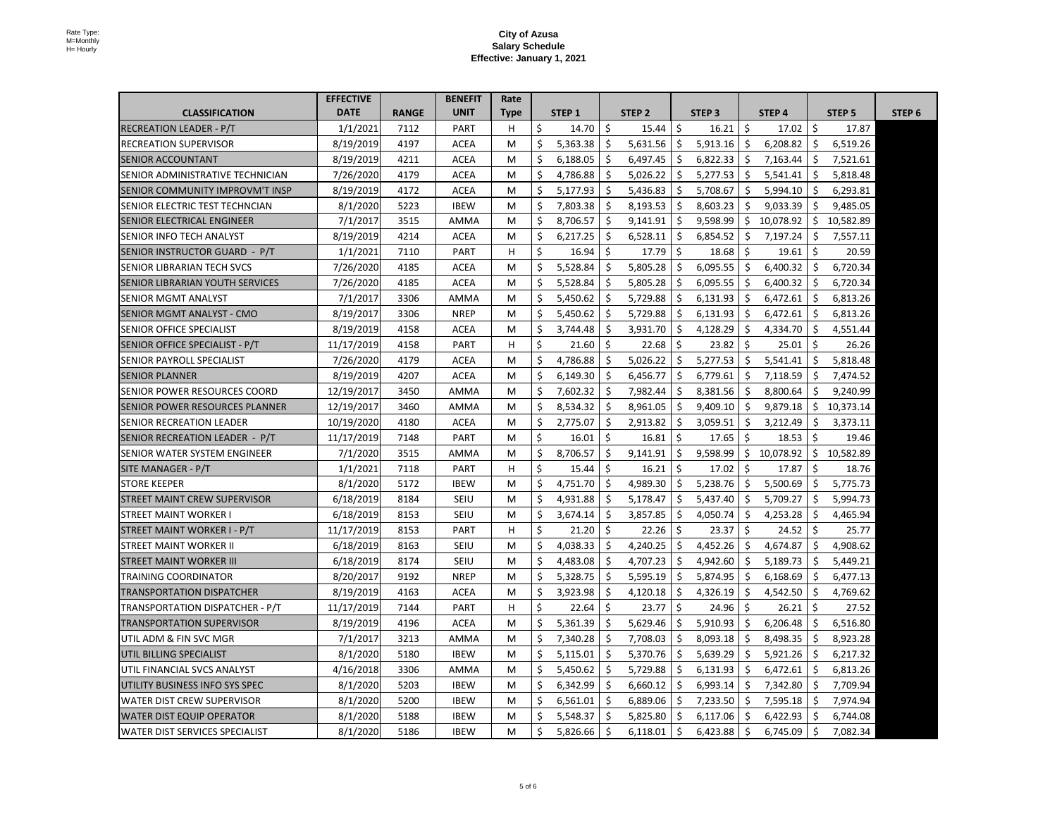|                                         | <b>EFFECTIVE</b> |              | <b>BENEFIT</b> | Rate |          |          |          |              |           |    |           |        |
|-----------------------------------------|------------------|--------------|----------------|------|----------|----------|----------|--------------|-----------|----|-----------|--------|
| <b>CLASSIFICATION</b>                   | <b>DATE</b>      | <b>RANGE</b> | <b>UNIT</b>    | Type | STEP 1   | STEP 2   | STEP 3   |              | STEP 4    |    | STEP 5    | STEP 6 |
| <b>RECREATION LEADER - P/T</b>          | 1/1/2021         | 7112         | <b>PART</b>    | H.   | 14.70    | 15.44    | 16.21    | <sub>S</sub> | 17.02     |    | 17.87     |        |
| <b>RECREATION SUPERVISOR</b>            | 8/19/2019        | 4197         | <b>ACEA</b>    | M    | 5,363.38 | 5,631.56 | 5,913.16 |              | 6,208.82  |    | 6,519.26  |        |
| <b>SENIOR ACCOUNTANT</b>                | 8/19/2019        | 4211         | <b>ACEA</b>    | M    | 6,188.05 | 6,497.45 | 6,822.33 |              | 7,163.44  |    | 7,521.61  |        |
| <b>SENIOR ADMINISTRATIVE TECHNICIAN</b> | 7/26/2020        | 4179         | <b>ACEA</b>    | M    | 4,786.88 | 5,026.22 | 5,277.53 |              | 5,541.41  |    | 5,818.48  |        |
| <b>ISENIOR COMMUNITY IMPROVM'T INSP</b> | 8/19/2019        | 4172         | <b>ACEA</b>    | M    | 5,177.93 | 5,436.83 | 5,708.67 | \$.          | 5,994.10  |    | 6,293.81  |        |
| <b>SENIOR ELECTRIC TEST TECHNCIAN</b>   | 8/1/2020         | 5223         | <b>IBEW</b>    | M    | 7,803.38 | 8,193.53 | 8,603.23 | \$.          | 9,033.39  |    | 9,485.05  |        |
| <b>SENIOR ELECTRICAL ENGINEER</b>       | 7/1/2017         | 3515         | <b>AMMA</b>    | M    | 8,706.57 | 9,141.91 | 9,598.99 |              | 10,078.92 |    | 10,582.89 |        |
| <b>SENIOR INFO TECH ANALYST</b>         | 8/19/2019        | 4214         | <b>ACEA</b>    | M    | 6,217.25 | 6,528.11 | 6,854.52 |              | 7,197.24  |    | 7,557.11  |        |
| SENIOR INSTRUCTOR GUARD - P/T           | 1/1/2021         | 7110         | <b>PART</b>    | H    | 16.94    | 17.79    | 18.68    | -\$          | 19.61     |    | 20.59     |        |
| <b>SENIOR LIBRARIAN TECH SVCS</b>       | 7/26/2020        | 4185         | <b>ACEA</b>    | M    | 5,528.84 | 5,805.28 | 6,095.55 | S.           | 6,400.32  | S  | 6,720.34  |        |
| <b>SENIOR LIBRARIAN YOUTH SERVICES</b>  | 7/26/2020        | 4185         | <b>ACEA</b>    | M    | 5,528.84 | 5,805.28 | 6,095.55 | \$.          | 6,400.32  |    | 6,720.34  |        |
| <b>SENIOR MGMT ANALYST</b>              | 7/1/2017         | 3306         | AMMA           | M    | 5,450.62 | 5,729.88 | 6,131.93 | Ş.           | 6,472.61  |    | 6,813.26  |        |
| <b>SENIOR MGMT ANALYST - CMO</b>        | 8/19/2017        | 3306         | <b>NREP</b>    | M    | 5,450.62 | 5,729.88 | 6,131.93 |              | 6,472.61  |    | 6,813.26  |        |
| <b>SENIOR OFFICE SPECIALIST</b>         | 8/19/2019        | 4158         | <b>ACEA</b>    | M    | 3,744.48 | 3,931.70 | 4,128.29 |              | 4,334.70  |    | 4,551.44  |        |
| SENIOR OFFICE SPECIALIST - P/T          | 11/17/2019       | 4158         | <b>PART</b>    | H.   | 21.60    | 22.68    | 23.82    |              | 25.01     |    | 26.26     |        |
| <b>SENIOR PAYROLL SPECIALIST</b>        | 7/26/2020        | 4179         | <b>ACEA</b>    | M    | 4,786.88 | 5,026.22 | 5,277.53 |              | 5,541.41  |    | 5,818.48  |        |
| <b>SENIOR PLANNER</b>                   | 8/19/2019        | 4207         | <b>ACEA</b>    | M    | 6,149.30 | 6,456.77 | 6,779.61 | \$.          | 7,118.59  |    | 7,474.52  |        |
| <b>SENIOR POWER RESOURCES COORD</b>     | 12/19/2017       | 3450         | <b>AMMA</b>    | M    | 7,602.32 | 7,982.44 | 8,381.56 |              | 8,800.64  |    | 9,240.99  |        |
| <b>SENIOR POWER RESOURCES PLANNER</b>   | 12/19/2017       | 3460         | AMMA           | M    | 8,534.32 | 8,961.05 | 9,409.10 |              | 9,879.18  |    | 10,373.14 |        |
| <b>SENIOR RECREATION LEADER</b>         | 10/19/2020       | 4180         | <b>ACEA</b>    | M    | 2,775.07 | 2,913.82 | 3,059.51 |              | 3,212.49  |    | 3,373.11  |        |
| SENIOR RECREATION LEADER - P/T          | 11/17/2019       | 7148         | <b>PART</b>    | M    | 16.01    | 16.81    | 17.65    | -Ş           | 18.53     |    | 19.46     |        |
| <b>SENIOR WATER SYSTEM ENGINEER</b>     | 7/1/2020         | 3515         | AMMA           | M    | 8,706.57 | 9,141.91 | 9,598.99 | -Ş           | 10,078.92 |    | 10,582.89 |        |
| SITE MANAGER - P/T                      | 1/1/2021         | 7118         | <b>PART</b>    | H.   | 15.44    | 16.21    | 17.02    |              | 17.87     |    | 18.76     |        |
| <b>STORE KEEPER</b>                     | 8/1/2020         | 5172         | <b>IBEW</b>    | M    | 4,751.70 | 4,989.30 | 5,238.76 | -Ş           | 5,500.69  |    | 5,775.73  |        |
| <b>STREET MAINT CREW SUPERVISOR</b>     | 6/18/2019        | 8184         | <b>SEIU</b>    | M    | 4,931.88 | 5,178.47 | 5,437.40 |              | 5,709.27  |    | 5,994.73  |        |
| <b>STREET MAINT WORKER I</b>            | 6/18/2019        | 8153         | <b>SEIU</b>    | M    | 3,674.14 | 3,857.85 | 4,050.74 |              | 4,253.28  |    | 4,465.94  |        |
| STREET MAINT WORKER I - P/T             | 11/17/2019       | 8153         | <b>PART</b>    | H    | 21.20    | 22.26    | 23.37    |              | 24.52     |    | 25.77     |        |
| <b>STREET MAINT WORKER II</b>           | 6/18/2019        | 8163         | <b>SEIU</b>    | M    | 4,038.33 | 4,240.25 | 4,452.26 | -S           | 4,674.87  |    | 4,908.62  |        |
| <b>STREET MAINT WORKER III</b>          | 6/18/2019        | 8174         | <b>SEIU</b>    | M    | 4,483.08 | 4,707.23 | 4,942.60 |              | 5,189.73  |    | 5,449.21  |        |
| <b>TRAINING COORDINATOR</b>             | 8/20/2017        | 9192         | <b>NREP</b>    | M    | 5,328.75 | 5,595.19 | 5,874.95 | \$.          | 6,168.69  |    | 6,477.13  |        |
| <b>TRANSPORTATION DISPATCHER</b>        | 8/19/2019        | 4163         | <b>ACEA</b>    | M    | 3,923.98 | 4,120.18 | 4,326.19 |              | 4,542.50  |    | 4,769.62  |        |
| TRANSPORTATION DISPATCHER - P/T         | 11/17/2019       | 7144         | <b>PART</b>    | H.   | 22.64    | 23.77    | 24.96    |              | 26.21     |    | 27.52     |        |
| <b>TRANSPORTATION SUPERVISOR</b>        | 8/19/2019        | 4196         | <b>ACEA</b>    | M    | 5,361.39 | 5,629.46 | 5,910.93 |              | 6,206.48  |    | 6,516.80  |        |
| UTIL ADM & FIN SVC MGR                  | 7/1/2017         | 3213         | AMMA           | M    | 7,340.28 | 7,708.03 | 8,093.18 |              | 8,498.35  |    | 8,923.28  |        |
| UTIL BILLING SPECIALIST                 | 8/1/2020         | 5180         | <b>IBEW</b>    | M    | 5,115.01 | 5,370.76 | 5,639.29 |              | 5,921.26  |    | 6,217.32  |        |
| UTIL FINANCIAL SVCS ANALYST             | 4/16/2018        | 3306         | AMMA           | M    | 5,450.62 | 5,729.88 | 6,131.93 | -Ş           | 6,472.61  |    | 6,813.26  |        |
| UTILITY BUSINESS INFO SYS SPEC          | 8/1/2020         | 5203         | <b>IBEW</b>    | M    | 6,342.99 | 6,660.12 | 6,993.14 | S            | 7,342.80  |    | 7,709.94  |        |
| <b>WATER DIST CREW SUPERVISOR</b>       | 8/1/2020         | 5200         | <b>IBEW</b>    | M    | 6,561.01 | 6,889.06 | 7,233.50 |              | 7,595.18  |    | 7,974.94  |        |
| <b>WATER DIST EQUIP OPERATOR</b>        | 8/1/2020         | 5188         | <b>IBEW</b>    | M    | 5,548.37 | 5,825.80 | 6,117.06 |              | 6,422.93  |    | 6,744.08  |        |
| <b>WATER DIST SERVICES SPECIALIST</b>   | 8/1/2020         | 5186         | <b>IBEW</b>    | M    | 5,826.66 | 6,118.01 | 6,423.88 | -S           | 6,745.09  | -5 | 7,082.34  |        |